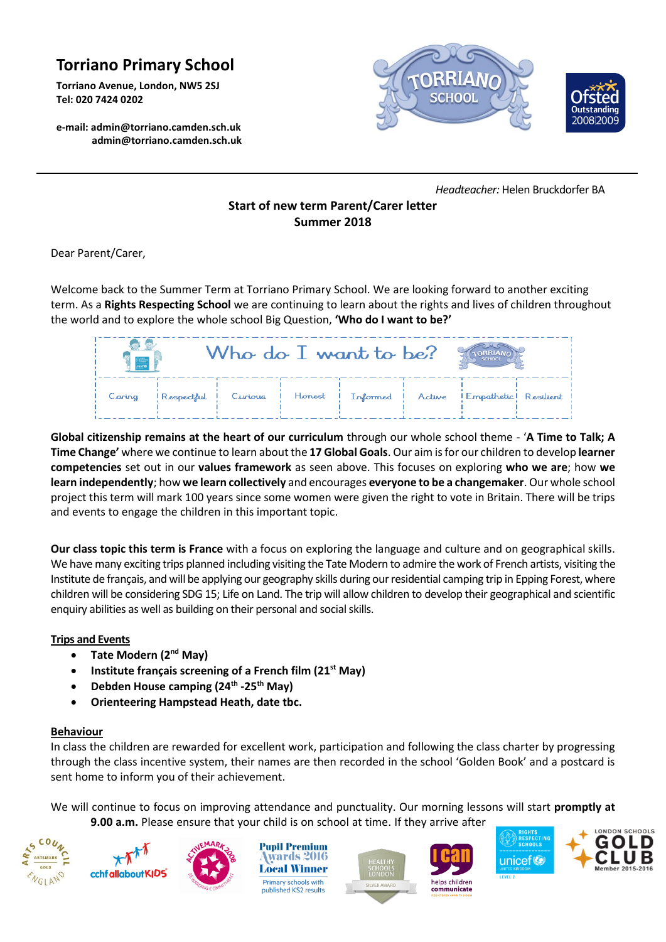## **Torriano Primary School**

**Torriano Avenue, London, NW5 2SJ Tel: 020 7424 0202**

**e-mail[: admin@torriano.camden.sch.uk](mailto:admin@torriano.camden.sch.uk) admin@torriano.camden.sch.uk**





 *Headteacher:* Helen Bruckdorfer BA

## **Start of new term Parent/Carer letter Summer 2018**

Dear Parent/Carer,

Welcome back to the Summer Term at Torriano Primary School. We are looking forward to another exciting term. As a **Rights Respecting School** we are continuing to learn about the rights and lives of children throughout the world and to explore the whole school Big Question, **'Who do I want to be?'**

| $\frac{1}{2}$ | Who do I want to be?                                                       |  | SCHOOL |  |
|---------------|----------------------------------------------------------------------------|--|--------|--|
| Caring        | Respectful   Curious   Honest   Informed   Active   Empathetic   Resilient |  |        |  |

**Global citizenship remains at the heart of our curriculum** through our whole school theme - '**A Time to Talk; A Time Change'** where we continue to learn about the **17 Global Goals**. Our aim is for our children to develop **learner competencies** set out in our **values framework** as seen above. This focuses on exploring **who we are**; how **we learn independently**; how **we learn collectively** and encourages **everyone to be a changemaker**. Our whole school project this term will mark 100 years since some women were given the right to vote in Britain. There will be trips and events to engage the children in this important topic.

**Our class topic this term is France** with a focus on exploring the language and culture and on geographical skills. We have many exciting trips planned including visiting the Tate Modern to admire the work of French artists, visiting the Institute de français, and will be applying our geography skills during our residential camping trip in Epping Forest, where children will be considering SDG 15; Life on Land. The trip will allow children to develop their geographical and scientific enquiry abilities as well as building on their personal and social skills.

## **Trips and Events**

- **Tate Modern (2nd May)**
- **Institute français screening of a French film (21st May)**
- **Debden House camping (24 th -25th May)**
- **Orienteering Hampstead Heath, date tbc.**

## **Behaviour**

In class the children are rewarded for excellent work, participation and following the class charter by progressing through the class incentive system, their names are then recorded in the school 'Golden Book' and a postcard is sent home to inform you of their achievement.

We will continue to focus on improving attendance and punctuality. Our morning lessons will start **promptly at 9.00 a.m.** Please ensure that your child is on school at time. If they arrive after







**Pupil Premium** wards 2016 **Local Winner** Primary schools with published KS2 results